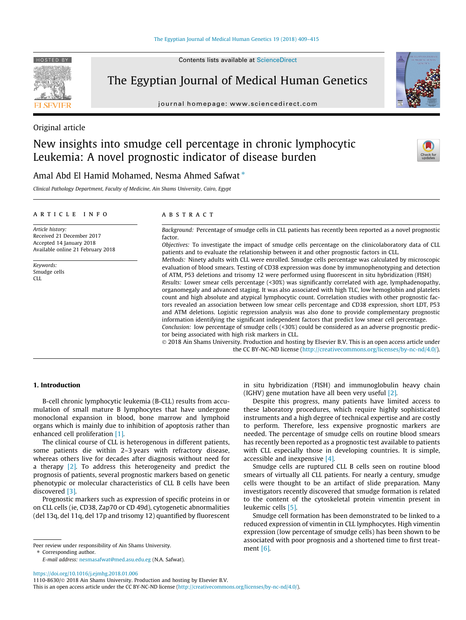journal homepage: [www.sciencedirect.com](http://www.sciencedirect.com)

# Original article

HOSTED BY

# New insights into smudge cell percentage in chronic lymphocytic Leukemia: A novel prognostic indicator of disease burden

# Amal Abd El Hamid Mohamed, Nesma Ahmed Safwat  $*$

Clinical Pathology Department, Faculty of Medicine, Ain Shams University, Cairo, Egypt

### article info

Article history: Received 21 December 2017 Accepted 14 January 2018 Available online 21 February 2018

Keywords: Smudge cells CLL

## A B S T R A C T

Background: Percentage of smudge cells in CLL patients has recently been reported as a novel prognostic factor.

Objectives: To investigate the impact of smudge cells percentage on the clinicolaboratory data of CLL patients and to evaluate the relationship between it and other prognostic factors in CLL.

Methods: Ninety adults with CLL were enrolled. Smudge cells percentage was calculated by microscopic evaluation of blood smears. Testing of CD38 expression was done by immunophenotyping and detection of ATM, P53 deletions and trisomy 12 were performed using fluorescent in situ hybridization (FISH)

Results: Lower smear cells percentage (<30%) was significantly correlated with age, lymphadenopathy, organomegaly and advanced staging. It was also associated with high TLC, low hemoglobin and platelets count and high absolute and atypical lymphocytic count. Correlation studies with other prognostic factors revealed an association between low smear cells percentage and CD38 expression, short LDT, P53 and ATM deletions. Logistic regression analysis was also done to provide complementary prognostic information identifying the significant independent factors that predict low smear cell percentage. Conclusion: low percentage of smudge cells (<30%) could be considered as an adverse prognostic predic-

tor being associated with high risk markers in CLL.

 2018 Ain Shams University. Production and hosting by Elsevier B.V. This is an open access article under the CC BY-NC-ND license (<http://creativecommons.org/licenses/by-nc-nd/4.0/>).

#### 1. Introduction

B-cell chronic lymphocytic leukemia (B-CLL) results from accumulation of small mature B lymphocytes that have undergone monoclonal expansion in blood, bone marrow and lymphoid organs which is mainly due to inhibition of apoptosis rather than enhanced cell proliferation [\[1\]](#page-6-0).

The clinical course of CLL is heterogenous in different patients, some patients die within 2–3 years with refractory disease, whereas others live for decades after diagnosis without need for a therapy [\[2\]](#page-6-0). To address this heterogeneity and predict the prognosis of patients, several prognostic markers based on genetic phenotypic or molecular characteristics of CLL B cells have been discovered [\[3\]](#page-6-0).

Prognostic markers such as expression of specific proteins in or on CLL cells (ie, CD38, Zap70 or CD 49d), cytogenetic abnormalities (del 13q, del 11q, del 17p and trisomy 12) quantified by fluorescent

Peer review under responsibility of Ain Shams University. ⇑ Corresponding author.

E-mail address: [nesmasafwat@med.asu.edu.eg](mailto:nesmasafwat@med.asu.edu.eg) (N.A. Safwat).

in situ hybridization (FISH) and immunoglobulin heavy chain (IGHV) gene mutation have all been very useful [\[2\]](#page-6-0).

Despite this progress, many patients have limited access to these laboratory procedures, which require highly sophisticated instruments and a high degree of technical expertise and are costly to perform. Therefore, less expensive prognostic markers are needed. The percentage of smudge cells on routine blood smears has recently been reported as a prognostic test available to patients with CLL especially those in developing countries. It is simple, accessible and inexpensive [\[4\]](#page-6-0).

Smudge cells are ruptured CLL B cells seen on routine blood smears of virtually all CLL patients. For nearly a century, smudge cells were thought to be an artifact of slide preparation. Many investigators recently discovered that smudge formation is related to the content of the cytoskeletal protein vimentin present in leukemic cells [\[5\]](#page-6-0).

Smudge cell formation has been demonstrated to be linked to a reduced expression of vimentin in CLL lymphocytes. High vimentin expression (low percentage of smudge cells) has been shown to be associated with poor prognosis and a shortened time to first treatment [\[6\]](#page-6-0).





Contents lists available at [ScienceDirect](http://www.sciencedirect.com/science/journal/11108630)

This is an open access article under the CC BY-NC-ND license ([http://creativecommons.org/licenses/by-nc-nd/4.0/\)](http://creativecommons.org/licenses/by-nc-nd/4.0/).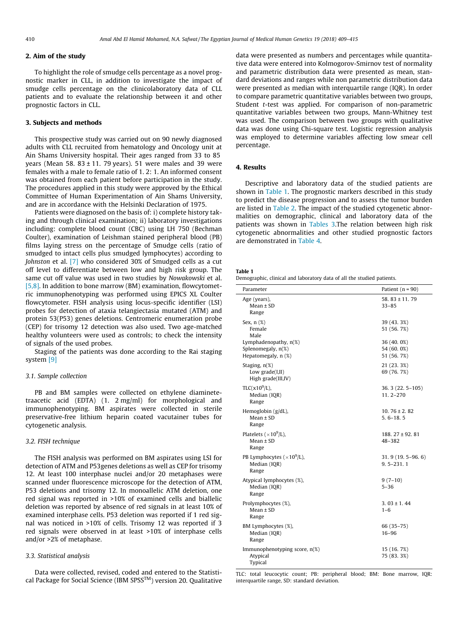# 2. Aim of the study

To highlight the role of smudge cells percentage as a novel prognostic marker in CLL, in addition to investigate the impact of smudge cells percentage on the clinicolaboratory data of CLL patients and to evaluate the relationship between it and other prognostic factors in CLL.

## 3. Subjects and methods

This prospective study was carried out on 90 newly diagnosed adults with CLL recruited from hematology and Oncology unit at Ain Shams University hospital. Their ages ranged from 33 to 85 years (Mean 58.  $83 \pm 11$ . 79 years). 51 were males and 39 were females with a male to female ratio of 1. 2: 1. An informed consent was obtained from each patient before participation in the study. The procedures applied in this study were approved by the Ethical Committee of Human Experimentation of Ain Shams University, and are in accordance with the Helsinki Declaration of 1975.

Patients were diagnosed on the basis of: i) complete history taking and through clinical examination; ii) laboratory investigations including: complete blood count (CBC) using LH 750 (Bechman Coulter), examination of Leishman stained peripheral blood (PB) films laying stress on the percentage of Smudge cells (ratio of smudged to intact cells plus smudged lymphocytes) according to Johnston et al. [\[7\]](#page-6-0) who considered 30% of Smudged cells as a cut off level to differentiate between low and high risk group. The same cut off value was used in two studies by Nowakowski et al. [\[5,8\]](#page-6-0). In addition to bone marrow (BM) examination, flowcytometric immunophenotyping was performed using EPICS XL Coulter flowcytometer. FISH analysis using locus-specific identifier (LSI) probes for detection of ataxia telangiectasia mutated (ATM) and protein 53(P53) genes deletions. Centromeric enumeration probe (CEP) for trisomy 12 detection was also used. Two age-matched healthy volunteers were used as controls; to check the intensity of signals of the used probes.

Staging of the patients was done according to the Rai staging system [\[9\]](#page-6-0)

#### 3.1. Sample collection

PB and BM samples were collected on ethylene diaminetetraacetic acid (EDTA) (1. 2 mg/ml) for morphological and immunophenotyping. BM aspirates were collected in sterile preservative-free lithium heparin coated vacutainer tubes for cytogenetic analysis.

#### 3.2. FISH technique

The FISH analysis was performed on BM aspirates using LSI for detection of ATM and P53genes deletions as well as CEP for trisomy 12. At least 100 interphase nuclei and/or 20 metaphases were scanned under fluorescence microscope for the detection of ATM, P53 deletions and trisomy 12. In monoallelic ATM deletion, one red signal was reported in >10% of examined cells and biallelic deletion was reported by absence of red signals in at least 10% of examined interphase cells. P53 deletion was reported if 1 red signal was noticed in >10% of cells. Trisomy 12 was reported if 3 red signals were observed in at least >10% of interphase cells and/or >2% of metaphase.

#### 3.3. Statistical analysis

Data were collected, revised, coded and entered to the Statistical Package for Social Science (IBM SPSS $TM$ ) version 20. Qualitative data were presented as numbers and percentages while quantitative data were entered into Kolmogorov-Smirnov test of normality and parametric distribution data were presented as mean, standard deviations and ranges while non parametric distribution data were presented as median with interquartile range (IQR). In order to compare parametric quantitative variables between two groups, Student t-test was applied. For comparison of non-parametric quantitative variables between two groups, Mann-Whitney test was used. The comparison between two groups with qualitative data was done using Chi-square test. Logistic regression analysis was employed to determine variables affecting low smear cell percentage.

## 4. Results

Descriptive and laboratory data of the studied patients are shown in Table 1. The prognostic markers described in this study to predict the disease progression and to assess the tumor burden are listed in [Table 2.](#page-2-0) The impact of the studied cytogenetic abnormalities on demographic, clinical and laboratory data of the patients was shown in [Tables 3](#page-2-0).The relation between high risk cytogenetic abnormalities and other studied prognostic factors are demonstrated in [Table 4](#page-3-0).

#### Table 1

Demographic, clinical and laboratory data of all the studied patients.

| Parameter                                                                | Patient $(n = 90)$                        |
|--------------------------------------------------------------------------|-------------------------------------------|
| Age (years),<br>$Mean \pm SD$<br>Range                                   | 58.83 ± 11.79<br>$33 - 85$                |
| Sex, $n$ $(\%)$<br>Female<br>Male                                        | 39 (43.3%)<br>51 (56.7%)                  |
| Lymphadenopathy, $n(\%)$<br>Splenomegaly, $n(\%)$<br>Hepatomegaly, n (%) | 36 (40, 0%)<br>54 (60, 0%)<br>51 (56, 7%) |
| Staging, $n(\%)$<br>Low $grade(I,II)$<br>High grade(III,IV)              | 21 (23.3%)<br>69 (76, 7%)                 |
| TLC( $x10^9/L$ ),<br>Median (IQR)<br>Range                               | 36. 3 (22. 5-105)<br>$11.2 - 270$         |
| Hemoglobin (g/dL),<br>Mean $\pm$ SD<br>Range                             | 10.76 $\pm$ 2.82<br>$5.6 - 18.5$          |
| Platelets ( $\times 10^9$ /L),<br>$Mean \pm SD$<br>Range                 | $188.27 \pm 92.81$<br>48-382              |
| PB Lymphocytes ( $\times 10^9$ /L),<br>Median (IQR)<br>Range             | $31.9(19.5-96.6)$<br>$9.5 - 231.1$        |
| Atypical lymphocytes (%),<br>Median (IQR)<br>Range                       | $9(7-10)$<br>$5 - 36$                     |
| Prolymphocytes (%),<br>$Mean \pm SD$<br>Range                            | $3.03 \pm 1.44$<br>$1 - 6$                |
| BM Lymphocytes (%),<br>Median (IQR)<br>Range                             | 66 (35-75)<br>16-96                       |
| Immunophenotyping score, n(%)<br>Atypical<br>Typical                     | 15 (16.7%)<br>75 (83.3%)                  |

TLC: total leucocytic count; PB: peripheral blood; BM: Bone marrow, IQR: interquartile range, SD: standard deviation.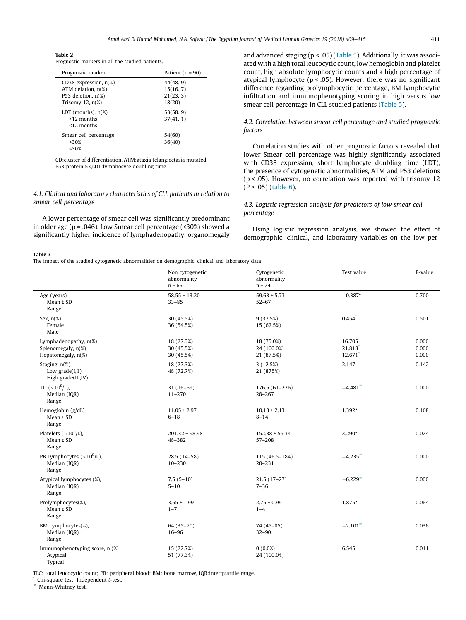<span id="page-2-0"></span>Table 2 Prognostic markers in all the studied patients.

| Prognostic marker                                                                                 | Patient $(n = 90)$                            |
|---------------------------------------------------------------------------------------------------|-----------------------------------------------|
| CD38 expression, $n(\%)$<br>ATM delation, $n(\%)$<br>P53 deletion, $n(\%)$<br>Trisomy 12, $n(\%)$ | 44(48, 9)<br>15(16, 7)<br>21(23, 3)<br>18(20) |
| LDT (months), $n(\%)$<br>$>12$ months<br>$<$ 12 months                                            | 53(58, 9)<br>37(41, 1)                        |
| Smear cell percentage<br>>30%<br><30%                                                             | 54(60)<br>36(40)                              |

CD:cluster of differentiation, ATM:ataxia telangiectasia mutated, P53:protein 53,LDT:lymphocyte doubling time

4.1. Clinical and laboratory characteristics of CLL patients in relation to smear cell percentage

A lower percentage of smear cell was significantly predominant in older age (p = .046). Low Smear cell percentage (<30%) showed a significantly higher incidence of lymphadenopathy, organomegaly

Table 3

The impact of the studied cytogenetic abnormalities on demographic, clinical and laboratory data:

and advanced staging ( $p < .05$ ) [\(Table 5](#page-3-0)). Additionally, it was associated with a high total leucocytic count, low hemoglobin and platelet count, high absolute lymphocytic counts and a high percentage of atypical lymphocyte (p < .05). However, there was no significant difference regarding prolymphocytic percentage, BM lymphocytic infiltration and immunophenotyping scoring in high versus low smear cell percentage in CLL studied patients ([Table 5](#page-3-0)).

4.2. Correlation between smear cell percentage and studied prognostic factors

Correlation studies with other prognostic factors revealed that lower Smear cell percentage was highly significantly associated with CD38 expression, short lymphocyte doubling time (LDT), the presence of cytogenetic abnormalities, ATM and P53 deletions (p < .05). However, no correlation was reported with trisomy 12  $(P > .05)$  ([table 6](#page-4-0)).

## 4.3. Logistic regression analysis for predictors of low smear cell percentage

Using logistic regression analysis, we showed the effect of demographic, clinical, and laboratory variables on the low per-

|                                                                                                                                                                                                                                                                                         | Non cytogenetic<br>abnormality<br>$n = 66$ | Cytogenetic<br>abnormality<br>$n = 24$  | Test value                                | P-value                 |
|-----------------------------------------------------------------------------------------------------------------------------------------------------------------------------------------------------------------------------------------------------------------------------------------|--------------------------------------------|-----------------------------------------|-------------------------------------------|-------------------------|
| Age (years)<br>$Mean \pm SD$<br>Range                                                                                                                                                                                                                                                   | $58.55 \pm 13.20$<br>$33 - 85$             | $59.63 \pm 5.73$<br>$52 - 67$           | $-0.387$ <sup>*</sup>                     | 0.700                   |
| Sex, $n(\%)$<br>Female<br>Male                                                                                                                                                                                                                                                          | 30 (45.5%)<br>36 (54.5%)                   | 9(37.5%)<br>15 (62.5%)                  | 0.454                                     | 0.501                   |
| Lymphadenopathy, $n(\%)$<br>Splenomegaly, n(%)<br>Hepatomegaly, n(%)                                                                                                                                                                                                                    | 18 (27.3%)<br>30 (45.5%)<br>30 (45.5%)     | 18 (75.0%)<br>24 (100.0%)<br>21 (87.5%) | 16.705<br>21.818<br>$12.671$ <sup>*</sup> | 0.000<br>0.000<br>0.000 |
| Staging, $n(\%)$<br>Low $grade(I,II)$<br>High grade(III,IV)                                                                                                                                                                                                                             | 18 (27.3%)<br>48 (72.7%)                   | 3(12.5%)<br>21 (875%)                   | $2.147$ <sup>*</sup>                      | 0.142                   |
| TLC( $\times$ 10 <sup>9</sup> /L),<br>Median (IQR)<br>Range                                                                                                                                                                                                                             | $31(16-69)$<br>$11 - 270$                  | $176.5(61-226)$<br>$28 - 267$           | $-4.481$ <sup><math>\neq</math></sup>     | 0.000                   |
| Hemoglobin (g/dL),<br>$Mean \pm SD$<br>Range                                                                                                                                                                                                                                            | $11.05 \pm 2.97$<br>$6 - 18$               | $10.13 \pm 2.13$<br>$8 - 14$            | $1.392$ <sup>*</sup>                      | 0.168                   |
| Platelets ( $\times 10^9$ /L),<br>$Mean \pm SD$<br>Range                                                                                                                                                                                                                                | $201.32 \pm 98.98$<br>48-382               | $152.38 \pm 55.34$<br>$57 - 208$        | $2.290^{\circ}$                           | 0.024                   |
| PB Lymphocytes ( $\times 10^9$ /L),<br>Median (IQR)<br>Range                                                                                                                                                                                                                            | $28.5(14-58)$<br>$10 - 230$                | 115 (46.5-184)<br>$20 - 231$            | $-4.235^*$                                | 0.000                   |
| Atypical lymphocytes (%),<br>Median (IQR)<br>Range                                                                                                                                                                                                                                      | $7.5(5-10)$<br>$5 - 10$                    | $21.5(17-27)$<br>$7 - 36$               | $-6.229$ <sup><math>\neq</math></sup>     | 0.000                   |
| Prolymphocytes(%),<br>$Mean \pm SD$<br>Range                                                                                                                                                                                                                                            | $3.55 \pm 1.99$<br>$1 - 7$                 | $2.75 \pm 0.99$<br>$1 - 4$              | $1.875$ <sup>*</sup>                      | 0.064                   |
| BM Lymphocytes(%),<br>Median (IQR)<br>Range                                                                                                                                                                                                                                             | 64 (35-70)<br>$16 - 96$                    | $74(45-85)$<br>$32 - 90$                | $-2.101*$                                 | 0.036                   |
| Immunophenotyping score, n (%)<br>Atypical<br>Typical<br>THE CONTRACT IN the second of the Contract Contract Internal Internal Internal Internal Internal Internal Internal Internal Internal Internal Internal Internal Internal Internal Internal Internal Internal Internal Internal | 15 (22.7%)<br>51 (77.3%)<br>IOD.           | $0(0.0\%)$<br>24 (100.0%)               | 6.545                                     | 0.011                   |

TLC: total leucocytic count; PB: peripheral blood; BM: bone marrow, IQR:interquartile range.

Chi-square test; Independent  $t$ -test.

 $*$  Mann-Whitney test.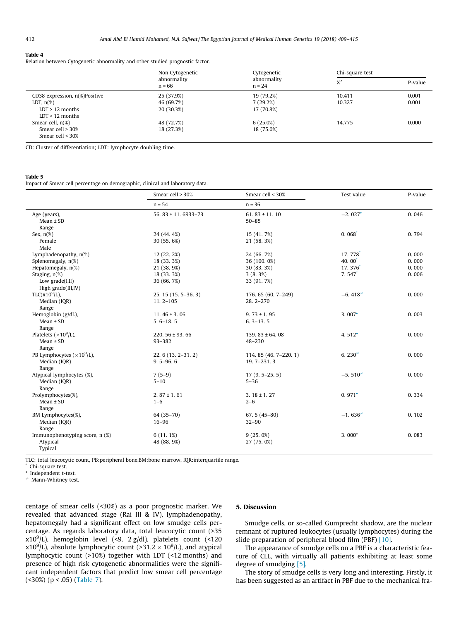#### <span id="page-3-0"></span>Table 4

Relation between Cytogenetic abnormality and other studied prognostic factor.

|                                 | Non Cytogenetic<br>abnormality<br>$n = 66$ | Cytogenetic<br>abnormality<br>$n = 24$ | Chi-square test |         |
|---------------------------------|--------------------------------------------|----------------------------------------|-----------------|---------|
|                                 |                                            |                                        | $X^2$           | P-value |
| CD38 expression, $n$ %)Positive | 25 (37.9%)                                 | 19 (79.2%)                             | 10.411          | 0.001   |
| LDT, $n(\%)$                    | 46 (69.7%)                                 | 7(29.2%)                               | 10.327          | 0.001   |
| $LDT > 12$ months               | 20 (30.3%)                                 | 17 (70.8%)                             |                 |         |
| $LDT < 12$ months               |                                            |                                        |                 |         |
| Smear cell, $n(\%)$             | 48 (72.7%)                                 | 6(25.0%)                               | 14.775          | 0.000   |
| Smear cell > 30%                | 18 (27.3%)                                 | 18 (75.0%)                             |                 |         |
| Smear cell $<$ 30%              |                                            |                                        |                 |         |

CD: Cluster of differentiation; LDT: lymphocyte doubling time.

#### Table 5

Impact of Smear cell percentage on demographic, clinical and laboratory data.

|                                        | Smear cell > 30%<br>$n = 54$ | Smear cell < 30%<br>$n = 36$   | Test value            | P-value |
|----------------------------------------|------------------------------|--------------------------------|-----------------------|---------|
|                                        |                              |                                |                       |         |
| Age (years),<br>$Mean \pm SD$<br>Range | 56, $83 \pm 11$ , 6933-73    | 61.83 $\pm$ 11.10<br>$50 - 85$ | $-2.027$ <sup>*</sup> | 0.046   |
| Sex, $n(\%)$                           | 24 (44.4%)                   | 15 (41.7%)                     | 0.068                 | 0.794   |
| Female                                 | 30 (55, 6%)                  | 21 (58.3%)                     |                       |         |
| Male                                   |                              |                                |                       |         |
| Lymphadenopathy, $n(\%)$               | 12 (22.2%)                   | 24 (66, 7%)                    | 17.778                | 0.000   |
| Splenomegaly, n(%)                     | 18 (33.3%)                   | 36 (100, 0%)                   | $40.00^{\circ}$       | 0.000   |
| Hepatomegaly, n(%)                     | 21 (38.9%)                   | 30 (83, 3%)                    | 17.376                | 0.000   |
| Staging, $n(\%)$                       | 18 (33.3%)                   | 3(8.3%)                        | $7.547$ <sup>*</sup>  | 0.006   |
| Low $grade(I,II)$                      | 36 (66, 7%)                  | 33 (91.7%)                     |                       |         |
| High grade(III,IV)                     |                              |                                |                       |         |
| $TLC(x109/L)$ ,                        | 25. 15 (15. 5-36. 3)         | 176. 65 (60. 7-249)            | $-6.4182$             | 0.000   |
| Median (IQR)                           | $11.2 - 105$                 | $28.2 - 270$                   |                       |         |
| Range                                  |                              |                                |                       |         |
| Hemoglobin (g/dL),                     | 11.46 $\pm$ 3.06             | $9.73 \pm 1.95$                | $3.007$ <sup>*</sup>  | 0.003   |
| $Mean \pm SD$                          | $5.6 - 18.5$                 | $6.3 - 13.5$                   |                       |         |
| Range                                  |                              |                                |                       |         |
| Platelets ( $\times 10^9$ /L),         | 220, $56 \pm 93$ , 66        | 139, $83 \pm 64$ , 08          | 4.512 $^{\circ}$      | 0.000   |
| $Mean \pm SD$                          | 93-382                       | 48-230                         |                       |         |
| Range                                  |                              |                                |                       |         |
| PB Lymphocytes ( $\times 10^9$ /L),    | $22, 6(13, 2-31, 2)$         | 114, 85 (46, 7-220, 1)         | 6.230 $#$             | 0.000   |
| Median (IQR)                           | $9.5 - 96.6$                 | $19.7 - 231.3$                 |                       |         |
| Range                                  |                              |                                |                       |         |
| Atypical lymphocytes (%),              | $7(5-9)$                     | $17(9, 5-25, 5)$               | $-5.5102$             | 0.000   |
| Median (IQR)                           | $5 - 10$                     | $5 - 36$                       |                       |         |
| Range                                  |                              |                                |                       |         |
| Prolymphocytes(%),                     | $2.87 \pm 1.61$              | $3.18 \pm 1.27$                | $0.971$ <sup>*</sup>  | 0.334   |
| $Mean \pm SD$                          | $1 - 6$                      | $2 - 6$                        |                       |         |
| Range                                  |                              |                                |                       |         |
| BM Lymphocytes(%),                     | 64 (35-70)                   | 67.5 $(45-80)$                 | $-1.6362$             | 0.102   |
| Median (IQR)                           | $16 - 96$                    | $32 - 90$                      |                       |         |
| Range                                  |                              |                                |                       |         |
| Immunophenotyping score, n (%)         | 6(11.1%)                     | 9(25.0%)                       | $3.000*$              | 0.083   |
| Atypical                               | 48 (88.9%)                   | 27 (75.0%)                     |                       |         |
| Typical                                |                              |                                |                       |         |

TLC: total leucocytic count, PB:peripheral bone,BM:bone marrow, IQR:interquartile range.

Chi-square test.

\* Independent t-test. Mann-Whitney test.

centage of smear cells (<30%) as a poor prognostic marker. We revealed that advanced stage (Rai III & IV), lymphadenopathy, hepatomegaly had a significant effect on low smudge cells percentage. As regards laboratory data, total leucocytic count (>35  $x10^9$ /L), hemoglobin level (<9. 2 g/dl), platelets count (<120  $x10^9$ /L), absolute lymphocytic count (>31.2  $\times$   $10^9$ /L), and atypical lymphocytic count (>10%) together with LDT (<12 months) and presence of high risk cytogenetic abnormalities were the significant independent factors that predict low smear cell percentage (<30%) (p < .05) [\(Table 7](#page-4-0)).

# 5. Discussion

Smudge cells, or so-called Gumprecht shadow, are the nuclear remnant of ruptured leukocytes (usually lymphocytes) during the slide preparation of peripheral blood film (PBF) [\[10\]](#page-6-0).

The appearance of smudge cells on a PBF is a characteristic feature of CLL, with virtually all patients exhibiting at least some degree of smudging [\[5\]](#page-6-0).

The story of smudge cells is very long and interesting. Firstly, it has been suggested as an artifact in PBF due to the mechanical fra-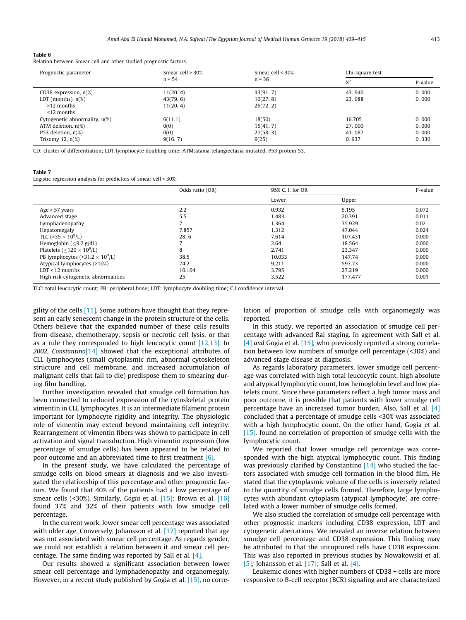#### <span id="page-4-0"></span>Table 6

Relation between Smear cell and other studied prognostic factors.

| Prognostic parameter             | Smear cell $>$ 30%<br>$n = 54$ | Smear cell $<$ 30%<br>$n = 36$ | Chi-square test |         |
|----------------------------------|--------------------------------|--------------------------------|-----------------|---------|
|                                  |                                |                                | $X^2$           | P-value |
| CD38 expression, $n(\%)$         | 11(20, 4)                      | 33(91, 7)                      | 43.940          | 0.000   |
| LDT (months), $n(\%)$            | 43(79, 6)                      | 10(27, 8)                      | 23.988          | 0.000   |
| >12 months                       | 11(20, 4)                      | 26(72, 2)                      |                 |         |
| $<$ 12 months                    |                                |                                |                 |         |
| Cytogenetic abnormality, $n(\%)$ | 6(11.1)                        | 18(50)                         | 16.705          | 0.000   |
| ATM deletion, $n(\%)$            | 0(0)                           | 15(41, 7)                      | 27.000          | 0.000   |
| P53 deletion, $n(\%)$            | 0(0)                           | 21(58, 3)                      | 41.087          | 0.000   |
| Trisomy 12, $n(\%)$              | 9(16, 7)                       | 9(25)                          | 0.937           | 0.330   |

CD: cluster of differentiation; LDT:lymphocyte doubling time; ATM:ataxia telangiectasia mutated, P53:protein 53.

#### Table 7

Logistic regression analysis for predictors of smear cell < 30%:

|                                                     | Odds ratio (OR) | 95% C. I. for OR |         | P-value |
|-----------------------------------------------------|-----------------|------------------|---------|---------|
|                                                     |                 | Lower            | Upper   |         |
| Age $> 57$ years                                    | 2.2             | 0.932            | 5.195   | 0.072   |
| Advanced stage                                      | 5.5             | 1.483            | 20.391  | 0.011   |
| Lymphadenopathy                                     |                 | 1.364            | 35.929  | 0.02    |
| Hepatomegaly                                        | 7.857           | 1.312            | 47.044  | 0.024   |
| TLC (>35 $\times$ 10 <sup>9</sup> /L)               | 28.6            | 7.614            | 107.431 | 0.000   |
| Hemoglobin ( $\leq$ 9.2 g/dL)                       |                 | 2.64             | 18.564  | 0.000   |
| Platelets ( $\leq$ 120 $\times$ 10 <sup>9</sup> /L) | 8               | 2.741            | 23.347  | 0.000   |
| PB lymphocytes (>31.2 $\times$ 10 <sup>9</sup> /L)  | 38.5            | 10.033           | 147.74  | 0.000   |
| Atypical lymphocytes (>10%)                         | 74.2            | 9.211            | 597.73  | 0.000   |
| $LDT < 12$ months                                   | 10.164          | 3.795            | 27.219  | 0.000   |
| High risk cytogenetic abnormalities                 | 25              | 3.522            | 177.477 | 0.001   |

TLC: total leucocytic count; PB: peripheral bone; LDT: lymphocyte doubling time; C.I:confidence interval.

gility of the cells [\[11\]](#page-6-0). Some authors have thought that they represent an early senescent change in the protein structure of the cells. Others believe that the expanded number of these cells results from disease, chemotherapy, sepsis or necrotic cell lysis, or that as a rule they corresponded to high leucocytic count [\[12,13\]](#page-6-0). In 2002, Constantino $[14]$  showed that the exceptional attributes of CLL lymphocytes (small cytoplasmic rim, abnormal cytoskeleton structure and cell membrane, and increased accumulation of malignant cells that fail to die) predispose them to smearing during film handling.

Further investigation revealed that smudge cell formation has been connected to reduced expression of the cytoskeletal protein vimentin in CLL lymphocytes. It is an intermediate filament protein important for lymphocyte rigidity and integrity. The physiologic role of vimentin may extend beyond maintaining cell integrity. Rearrangement of vimentin fibers was shown to participate in cell activation and signal transduction. High vimentin expression (low percentage of smudge cells) has been appeared to be related to poor outcome and an abbreviated time to first treatment [\[6\]](#page-6-0).

In the present study, we have calculated the percentage of smudge cells on blood smears at diagnosis and we also investigated the relationship of this percentage and other prognostic factors. We found that 40% of the patients had a low percentage of smear cells (<30%). Similarly, Gogia et al. [\[15\];](#page-6-0) Brown et al. [\[16\]](#page-6-0) found 37% and 32% of their patients with low smudge cell percentage.

In the current work, lower smear cell percentage was associated with older age. Conversely, Johansson et al. [\[17\]](#page-6-0) reported that age was not associated with smear cell percentage. As regards gender, we could not establish a relation between it and smear cell percentage. The same finding was reported by Sall et al. [\[4\]](#page-6-0).

Our results showed a significant association between lower smear cell percentage and lymphadenopathy and organomegaly. However, in a recent study published by Gogia et al. [\[15\]](#page-6-0), no correlation of proportion of smudge cells with organomegaly was reported.

In this study, we reported an association of smudge cell percentage with advanced Rai staging. In agreement with Sall et al. [\[4\]](#page-6-0) and Gogia et al. [\[15\]](#page-6-0), who previously reported a strong correlation between low numbers of smudge cell percentage (<30%) and advanced stage disease at diagnosis.

As regards laboratory parameters, lower smudge cell percentage was correlated with high total leucocytic count, high absolute and atypical lymphocytic count, low hemoglobin level and low platelets count. Since these parameters reflect a high tumor mass and poor outcome, it is possible that patients with lower smudge cell percentage have an increased tumor burden. Also, Sall et al. [\[4\]](#page-6-0) concluded that a percentage of smudge cells <30% was associated with a high lymphocytic count. On the other hand, Gogia et al. [\[15\]](#page-6-0), found no correlation of proportion of smudge cells with the lymphocytic count.

We reported that lower smudge cell percentage was corresponded with the high atypical lymphocytic count. This finding was previously clarified by Constantino [\[14\]](#page-6-0) who studied the factors associated with smudge cell formation in the blood film. He stated that the cytoplasmic volume of the cells is inversely related to the quantity of smudge cells formed. Therefore, large lymphocytes with abundant cytoplasm (atypical lymphocyte) are correlated with a lower number of smudge cells formed.

We also studied the correlation of smudge cell percentage with other prognostic markers including CD38 expression, LDT and cytogenetic aberrations. We revealed an inverse relation between smudge cell percentage and CD38 expression. This finding may be attributed to that the unruptured cells have CD38 expression. This was also reported in previous studies by Nowakowski et al. [\[5\]](#page-6-0); Johansson et al. [\[17\]](#page-6-0); Sall et al.  $[4]$ .

Leukemic clones with higher numbers of CD38 + cells are more responsive to B-cell receptor (BCR) signaling and are characterized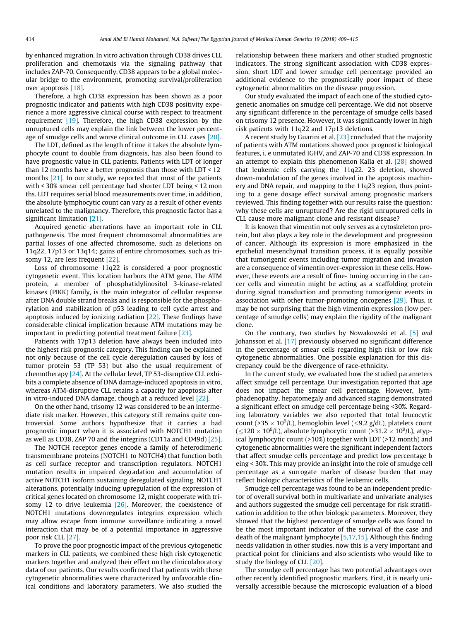by enhanced migration. In vitro activation through CD38 drives CLL proliferation and chemotaxis via the signaling pathway that includes ZAP-70. Consequently, CD38 appears to be a global molecular bridge to the environment, promoting survival/proliferation over apoptosis [\[18\]](#page-6-0).

Therefore, a high CD38 expression has been shown as a poor prognostic indicator and patients with high CD38 positivity experience a more aggressive clinical course with respect to treatment requirement [\[19\]](#page-6-0). Therefore, the high CD38 expression by the unruptured cells may explain the link between the lower percentage of smudge cells and worse clinical outcome in CLL cases [\[20\]](#page-6-0).

The LDT, defined as the length of time it takes the absolute lymphocyte count to double from diagnosis, has also been found to have prognostic value in CLL patients. Patients with LDT of longer than 12 months have a better prognosis than those with LDT < 12 months [\[21\]](#page-6-0). In our study, we reported that most of the patients with < 30% smear cell percentage had shorter LDT being < 12 mon ths. LDT requires serial blood measurements over time, in addition, the absolute lymphocytic count can vary as a result of other events unrelated to the malignancy. Therefore, this prognostic factor has a significant limitation [\[21\]](#page-6-0).

Acquired genetic aberrations have an important role in CLL pathogenesis. The most frequent chromosomal abnormalities are partial losses of one affected chromosome, such as deletions on 11q22, 17p13 or 13q14; gains of entire chromosomes, such as trisomy 12, are less frequent [\[22\]](#page-6-0).

Loss of chromosome 11q22 is considered a poor prognostic cytogenetic event. This location harbors the ATM gene. The ATM protein, a member of phosphatidylinositol 3-kinase-related kinases (PIKK) family, is the main integrator of cellular response after DNA double strand breaks and is responsible for the phosphorylation and stabilization of p53 leading to cell cycle arrest and apoptosis induced by ionizing radiation [\[22\]](#page-6-0). These findings have considerable clinical implication because ATM mutations may be important in predicting potential treatment failure [\[23\]](#page-6-0).

Patients with 17p13 deletion have always been included into the highest risk prognostic category. This finding can be explained not only because of the cell cycle deregulation caused by loss of tumor protein 53 (TP 53) but also the usual requirement of chemotherapy  $[24]$ . At the cellular level, TP 53-disruptive CLL exhibits a complete absence of DNA damage-induced apoptosis in vitro, whereas ATM-disruptive CLL retains a capacity for apoptosis after in vitro-induced DNA damage, though at a reduced level [\[22\]](#page-6-0).

On the other hand, trisomy 12 was considered to be an intermediate risk marker. However, this category still remains quite controversial. Some authors hypothesize that it carries a bad prognostic impact when it is associated with NOTCH1 mutation as well as CD38, ZAP 70 and the integrins (CD11a and CD49d) [\[25\].](#page-6-0)

The NOTCH receptor genes encode a family of heterodimeric transmembrane proteins (NOTCH1 to NOTCH4) that function both as cell surface receptor and transcription regulators. NOTCH1 mutation results in impaired degradation and accumulation of active NOTCH1 isoform sustaining deregulated signaling. NOTCH1 alterations, potentially inducing upregulation of the expression of critical genes located on chromosome 12, might cooperate with trisomy 12 to drive leukemia  $[26]$ . Moreover, the coexistence of NOTCH1 mutations downregulates integrins expression which may allow escape from immune surveillance indicating a novel interaction that may be of a potential importance in aggressive poor risk CLL [\[27\]](#page-6-0).

To prove the poor prognostic impact of the previous cytogenetic markers in CLL patients, we combined these high risk cytogenetic markers together and analyzed their effect on the clinicolaboratory data of our patients. Our results confirmed that patients with these cytogenetic abnormalities were characterized by unfavorable clinical conditions and laboratory parameters. We also studied the

relationship between these markers and other studied prognostic indicators. The strong significant association with CD38 expression, short LDT and lower smudge cell percentage provided an additional evidence to the prognostically poor impact of these cytogenetic abnormalities on the disease progression.

Our study evaluated the impact of each one of the studied cytogenetic anomalies on smudge cell percentage. We did not observe any significant difference in the percentage of smudge cells based on trisomy 12 presence. However, it was significantly lower in high risk patients with 11q22 and 17p13 deletions.

A recent study by Guarini et al. [\[23\]](#page-6-0) concluded that the majority of patients with ATM mutations showed poor prognostic biological features, i. e unmutated IGHV, and ZAP-70 and CD38 expression. In an attempt to explain this phenomenon Kalla et al. [\[28\]](#page-6-0) showed that leukemic cells carrying the 11q22. 23 deletion, showed down-modulation of the genes involved in the apoptosis machinery and DNA repair, and mapping to the 11q23 region, thus pointing to a gene dosage effect survival among prognostic markers reviewed. This finding together with our results raise the question: why these cells are unruptured? Are the rigid unruptured cells in CLL cause more malignant clone and resistant disease?

It is known that vimentin not only serves as a cytoskeleton protein, but also plays a key role in the development and progression of cancer. Although its expression is more emphasized in the epithelial mesenchymal transition process, it is equally possible that tumorigenic events including tumor migration and invasion are a consequence of vimentin over-expression in these cells. However, these events are a result of fine- tuning occurring in the cancer cells and vimentin might be acting as a scaffolding protein during signal transduction and promoting tumorigenic events in association with other tumor-promoting oncogenes [\[29\]](#page-6-0). Thus, it may be not surprising that the high vimentin expression (low percentage of smudge cells) may explain the rigidity of the malignant clone.

On the contrary, two studies by Nowakowski et al. [\[5\]](#page-6-0) and Johansson et al. [\[17\]](#page-6-0) previously observed no significant difference in the percentage of smear cells regarding high risk or low risk cytogenetic abnormalities. One possible explanation for this discrepancy could be the divergence of race-ethnicity.

In the current study, we evaluated how the studied parameters affect smudge cell percentage. Our investigation reported that age does not impact the smear cell percentage. However, lymphadenopathy, hepatomegaly and advanced staging demonstrated a significant effect on smudge cell percentage being <30%. Regarding laboratory variables we also reported that total leucocytic count (>35  $\times$  10<sup>9</sup>/L), hemoglobin level ( $\leq$ 9.2 g/dL), platelets count  $(\leq 120 \times 10^9$ /L), absolute lymphocytic count (>31.2  $\times$  10<sup>9</sup>/L), atypical lymphocytic count (>10%) together with LDT (>12 month) and cytogenetic abnormalities were the significant independent factors that affect smudge cells percentage and predict low percentage b eing < 30%. This may provide an insight into the role of smudge cell percentage as a surrogate marker of disease burden that may reflect biologic characteristics of the leukemic cells.

Smudge cell percentage was found to be an independent predictor of overall survival both in multivariate and univariate analyses and authors suggested the smudge cell percentage for risk stratification in addition to the other biologic parameters. Moreover, they showed that the highest percentage of smudge cells was found to be the most important indicator of the survival of the case and death of the malignant lymphocyte [\[5,17,15\]](#page-6-0). Although this finding needs validation in other studies, now this is a very important and practical point for clinicians and also scientists who would like to study the biology of CLL [\[20\]](#page-6-0).

The smudge cell percentage has two potential advantages over other recently identified prognostic markers. First, it is nearly universally accessible because the microscopic evaluation of a blood